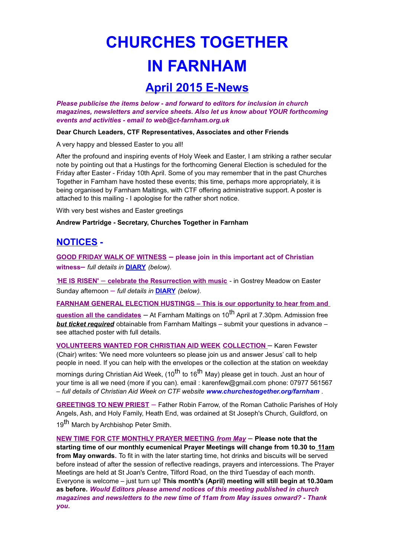## **CHURCHES TOGETHER IN FARNHAM**

## **April 2015 E-News**

Please publicise the items below - and forward to editors for inclusion in church magazines, newsletters and service sheets. Also let us know about YOUR forthcoming events and activities - email to web@ct-farnham.org.uk

Dear Church Leaders, CTF Representatives, Associates and other Friends

A very happy and blessed Easter to you all!

After the profound and inspiring events of Holy Week and Easter, I am striking a rather secular note by pointing out that a Hustings for the forthcoming General Election is scheduled for the Friday after Easter - Friday 10th April. Some of you may remember that in the past Churches Together in Farnham have hosted these events; this time, perhaps more appropriately, it is being organised by Farnham Maltings, with CTF offering administrative support. A poster is attached to this mailing - I apologise for the rather short notice.

With very best wishes and Easter greetings

Andrew Partridge - Secretary, Churches Together in Farnham

## **NOTICES -**

**GOOD FRIDAY WALK OF WITNESS** - please join in this important act of Christian witness- full details in DIARY (below).

**HE IS RISEN'** - celebrate the Resurrection with music - in Gostrey Meadow on Easter Sunday afternoon - full details in **DIARY** (below).

**FARNHAM GENERAL ELECTION HUSTINGS - This is our opportunity to hear from and** 

guestion all the candidates – At Farnham Maltings on 10<sup>th</sup> April at 7.30pm. Admission free **but ticket required** obtainable from Farnham Maltings - submit your questions in advance see attached poster with full details.

**VOLUNTEERS WANTED FOR CHRISTIAN AID WEEK COLLECTION - Karen Fewster** (Chair) writes: 'We need more volunteers so please join us and answer Jesus' call to help people in need. If you can help with the envelopes or the collection at the station on weekday mornings during Christian Aid Week, (10<sup>th</sup> to 16<sup>th</sup> May) please get in touch. Just an hour of your time is all we need (more if you can). email: karenfew@gmail.com phone: 07977 561567 - full details of Christian Aid Week on CTF website www.churchestogether.org/farnham.

GREETINGS TO NEW PRIEST - Father Robin Farrow, of the Roman Catholic Parishes of Holy Angels, Ash, and Holy Family, Heath End, was ordained at St Joseph's Church, Guildford, on 19<sup>th</sup> March by Archbishop Peter Smith.

NEW TIME FOR CTF MONTHLY PRAYER MEETING from May - Please note that the starting time of our monthly ecumenical Prayer Meetings will change from 10.30 to 11am from May onwards. To fit in with the later starting time, hot drinks and biscuits will be served before instead of after the session of reflective readings, prayers and intercessions. The Prayer Meetings are held at St Joan's Centre, Tilford Road, on the third Tuesday of each month. Everyone is welcome - just turn up! This month's (April) meeting will still begin at 10.30am as before. Would Editors please amend notices of this meeting published in church magazines and newsletters to the new time of 11am from May issues onward? - Thank vou.